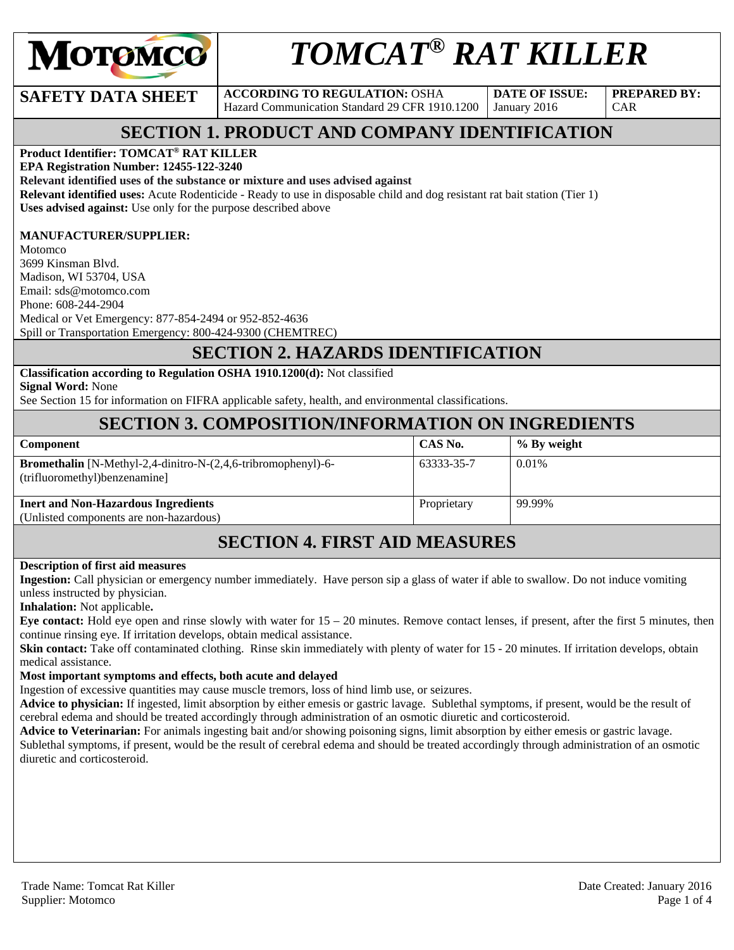

# *TOMCAT® RAT KILLER*

**SAFETY DATA SHEET** ACCORDING TO REGULATION: OSHA Hazard Communication Standard 29 CFR 1910.1200

**DATE OF ISSUE:**  January 2016

**PREPARED BY:**  CAR

## **SECTION 1. PRODUCT AND COMPANY IDENTIFICATION**

**Product Identifier: TOMCAT® RAT KILLER** 

**EPA Registration Number: 12455-122-3240** 

**Relevant identified uses of the substance or mixture and uses advised against**

**Relevant identified uses:** Acute Rodenticide - Ready to use in disposable child and dog resistant rat bait station (Tier 1) **Uses advised against:** Use only for the purpose described above

#### **MANUFACTURER/SUPPLIER:**

Motomco 3699 Kinsman Blvd. Madison, WI 53704, USA Email: sds@motomco.com Phone: 608-244-2904 Medical or Vet Emergency: 877-854-2494 or 952-852-4636 Spill or Transportation Emergency: 800-424-9300 (CHEMTREC)

#### **SECTION 2. HAZARDS IDENTIFICATION**

#### **Classification according to Regulation OSHA 1910.1200(d):** Not classified **Signal Word:** None

See Section 15 for information on FIFRA applicable safety, health, and environmental classifications.

#### **SECTION 3. COMPOSITION/INFORMATION ON INGREDIENTS**

| Component                                                                                                 | CAS No.     | % By weight |
|-----------------------------------------------------------------------------------------------------------|-------------|-------------|
| <b>Bromethalin</b> [N-Methyl-2,4-dinitro-N- $(2,4,6$ -tribromophenyl)-6-<br>(trifluoromethyl) benzenamine | 63333-35-7  | 0.01%       |
| <b>Inert and Non-Hazardous Ingredients</b><br>(Unlisted components are non-hazardous)                     | Proprietary | 99.99%      |

# **SECTION 4. FIRST AID MEASURES**

#### **Description of first aid measures**

**Ingestion:** Call physician or emergency number immediately. Have person sip a glass of water if able to swallow. Do not induce vomiting unless instructed by physician.

**Inhalation:** Not applicable**.** 

**Eye contact:** Hold eye open and rinse slowly with water for  $15 - 20$  minutes. Remove contact lenses, if present, after the first 5 minutes, then continue rinsing eye. If irritation develops, obtain medical assistance.

**Skin contact:** Take off contaminated clothing. Rinse skin immediately with plenty of water for 15 - 20 minutes. If irritation develops, obtain medical assistance.

#### **Most important symptoms and effects, both acute and delayed**

Ingestion of excessive quantities may cause muscle tremors, loss of hind limb use, or seizures.

**Advice to physician:** If ingested, limit absorption by either emesis or gastric lavage. Sublethal symptoms, if present, would be the result of cerebral edema and should be treated accordingly through administration of an osmotic diuretic and corticosteroid.

Advice to Veterinarian: For animals ingesting bait and/or showing poisoning signs, limit absorption by either emesis or gastric lavage. Sublethal symptoms, if present, would be the result of cerebral edema and should be treated accordingly through administration of an osmotic diuretic and corticosteroid.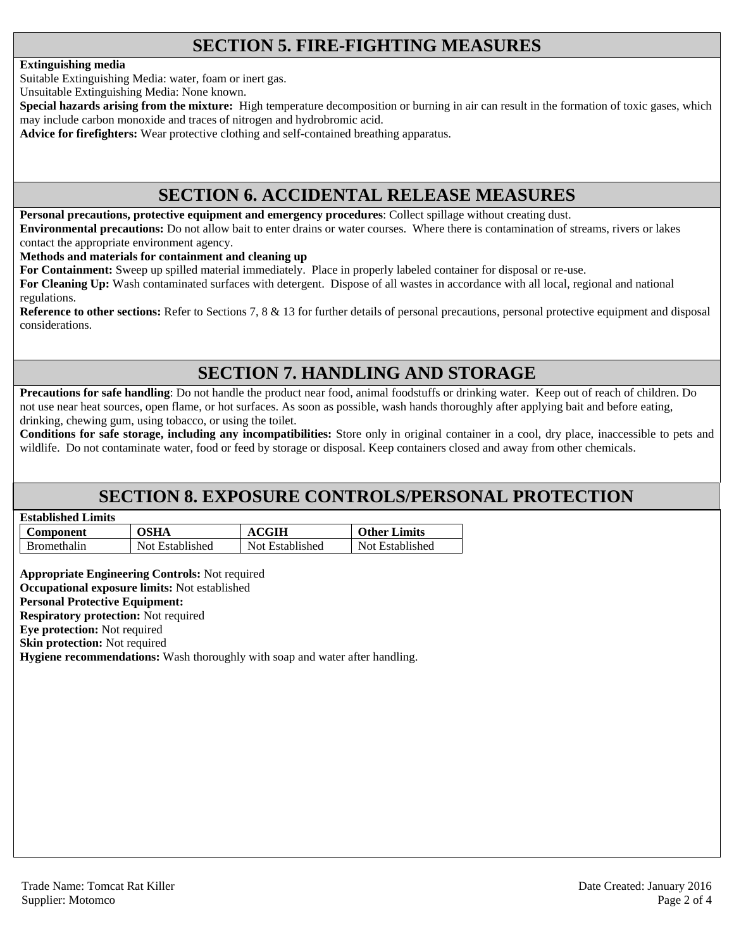# **SECTION 5. FIRE-FIGHTING MEASURES**

#### **Extinguishing media**

Suitable Extinguishing Media: water, foam or inert gas.

Unsuitable Extinguishing Media: None known.

**Special hazards arising from the mixture:** High temperature decomposition or burning in air can result in the formation of toxic gases, which may include carbon monoxide and traces of nitrogen and hydrobromic acid.

**Advice for firefighters:** Wear protective clothing and self-contained breathing apparatus.

#### **SECTION 6. ACCIDENTAL RELEASE MEASURES**

**Personal precautions, protective equipment and emergency procedures**: Collect spillage without creating dust.

**Environmental precautions:** Do not allow bait to enter drains or water courses. Where there is contamination of streams, rivers or lakes contact the appropriate environment agency.

**Methods and materials for containment and cleaning up**

**For Containment:** Sweep up spilled material immediately. Place in properly labeled container for disposal or re-use.

**For Cleaning Up:** Wash contaminated surfaces with detergent. Dispose of all wastes in accordance with all local, regional and national regulations.

**Reference to other sections:** Refer to Sections 7, 8 & 13 for further details of personal precautions, personal protective equipment and disposal considerations.

# **SECTION 7. HANDLING AND STORAGE**

**Precautions for safe handling**: Do not handle the product near food, animal foodstuffs or drinking water. Keep out of reach of children. Do not use near heat sources, open flame, or hot surfaces. As soon as possible, wash hands thoroughly after applying bait and before eating, drinking, chewing gum, using tobacco, or using the toilet.

**Conditions for safe storage, including any incompatibilities:** Store only in original container in a cool, dry place, inaccessible to pets and wildlife. Do not contaminate water, food or feed by storage or disposal. Keep containers closed and away from other chemicals.

### **SECTION 8. EXPOSURE CONTROLS/PERSONAL PROTECTION**

|--|

| Component          | OSHA            | <b>ACGIH</b>    | <b>Other Limits</b> |
|--------------------|-----------------|-----------------|---------------------|
| <b>Bromethalin</b> | Not Established | Not Established | Not Established     |

**Appropriate Engineering Controls:** Not required

**Occupational exposure limits:** Not established

**Personal Protective Equipment:** 

**Respiratory protection:** Not required

**Eye protection:** Not required

**Skin protection:** Not required

**Hygiene recommendations:** Wash thoroughly with soap and water after handling.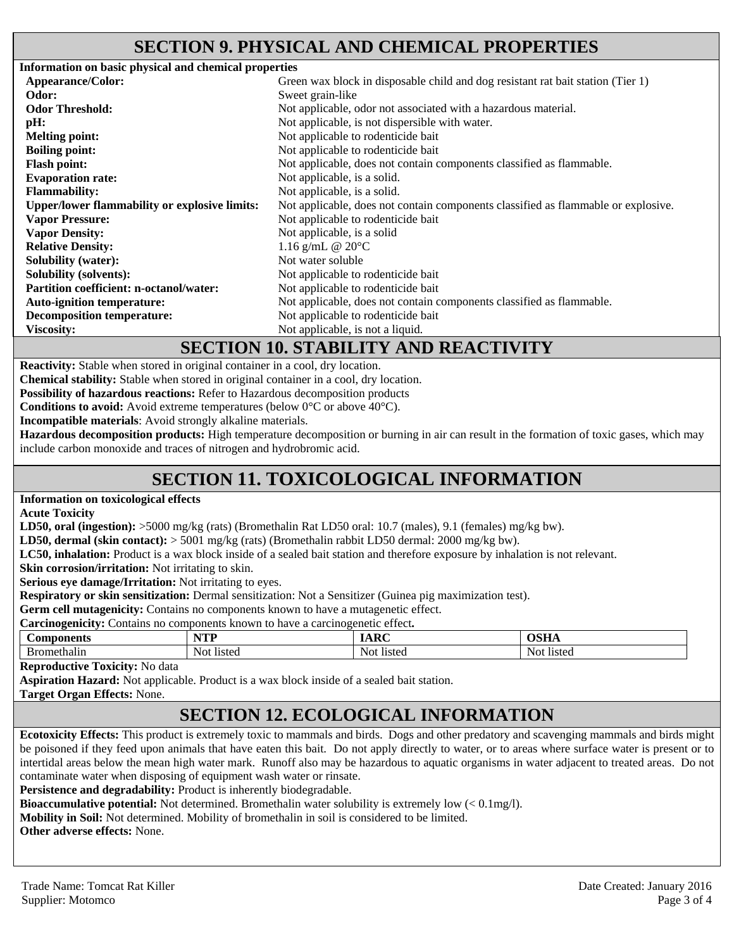### **SECTION 9. PHYSICAL AND CHEMICAL PROPERTIES**

| Information on basic physical and chemical properties |                                                                                   |
|-------------------------------------------------------|-----------------------------------------------------------------------------------|
| <b>Appearance/Color:</b>                              | Green wax block in disposable child and dog resistant rat bait station (Tier 1)   |
| Odor:                                                 | Sweet grain-like                                                                  |
| <b>Odor Threshold:</b>                                | Not applicable, odor not associated with a hazardous material.                    |
| pH:                                                   | Not applicable, is not dispersible with water.                                    |
| <b>Melting point:</b>                                 | Not applicable to rodenticide bait                                                |
| <b>Boiling point:</b>                                 | Not applicable to rodenticide bait                                                |
| <b>Flash point:</b>                                   | Not applicable, does not contain components classified as flammable.              |
| <b>Evaporation rate:</b>                              | Not applicable, is a solid.                                                       |
| <b>Flammability:</b>                                  | Not applicable, is a solid.                                                       |
| <b>Upper/lower flammability or explosive limits:</b>  | Not applicable, does not contain components classified as flammable or explosive. |
| <b>Vapor Pressure:</b>                                | Not applicable to rodenticide bait                                                |
| <b>Vapor Density:</b>                                 | Not applicable, is a solid                                                        |
| <b>Relative Density:</b>                              | 1.16 g/mL @ $20^{\circ}$ C                                                        |
| <b>Solubility (water):</b>                            | Not water soluble                                                                 |
| <b>Solubility (solvents):</b>                         | Not applicable to rodenticide bait                                                |
| <b>Partition coefficient: n-octanol/water:</b>        | Not applicable to rodenticide bait                                                |
| <b>Auto-ignition temperature:</b>                     | Not applicable, does not contain components classified as flammable.              |
| <b>Decomposition temperature:</b>                     | Not applicable to rodenticide bait                                                |
| <b>Viscosity:</b>                                     | Not applicable, is not a liquid.                                                  |
|                                                       |                                                                                   |

#### **SECTION 10. STABILITY AND REACTIVITY**

**Reactivity:** Stable when stored in original container in a cool, dry location.

**Chemical stability:** Stable when stored in original container in a cool, dry location.

**Possibility of hazardous reactions:** Refer to Hazardous decomposition products

**Conditions to avoid:** Avoid extreme temperatures (below 0°C or above 40°C).

**Incompatible materials**: Avoid strongly alkaline materials.

**Hazardous decomposition products:** High temperature decomposition or burning in air can result in the formation of toxic gases, which may include carbon monoxide and traces of nitrogen and hydrobromic acid.

# **SECTION 11. TOXICOLOGICAL INFORMATION**

**Information on toxicological effects** 

**Acute Toxicity** 

**LD50, oral (ingestion):** >5000 mg/kg (rats) (Bromethalin Rat LD50 oral: 10.7 (males), 9.1 (females) mg/kg bw).

**LD50, dermal (skin contact):** > 5001 mg/kg (rats) (Bromethalin rabbit LD50 dermal: 2000 mg/kg bw).

**LC50, inhalation:** Product is a wax block inside of a sealed bait station and therefore exposure by inhalation is not relevant.

**Skin corrosion/irritation:** Not irritating to skin.

**Serious eye damage/Irritation:** Not irritating to eyes.

**Respiratory or skin sensitization:** Dermal sensitization: Not a Sensitizer (Guinea pig maximization test).

**Germ cell mutagenicity:** Contains no components known to have a mutagenetic effect.

| $\sim$<br>Carcinogenicity:<br>Contains no components known to have a carcinogenetic effect. |            |               |            |
|---------------------------------------------------------------------------------------------|------------|---------------|------------|
| Components                                                                                  | <b>NTD</b> | ADC<br>17 N V | OSHA       |
| Bromethalin                                                                                 | Not listed | Not listed    | Not listea |

**Reproductive Toxicity:** No data

**Aspiration Hazard:** Not applicable. Product is a wax block inside of a sealed bait station.

**Target Organ Effects:** None.

# **SECTION 12. ECOLOGICAL INFORMATION**

**Ecotoxicity Effects:** This product is extremely toxic to mammals and birds. Dogs and other predatory and scavenging mammals and birds might be poisoned if they feed upon animals that have eaten this bait. Do not apply directly to water, or to areas where surface water is present or to intertidal areas below the mean high water mark. Runoff also may be hazardous to aquatic organisms in water adjacent to treated areas. Do not contaminate water when disposing of equipment wash water or rinsate.

**Persistence and degradability:** Product is inherently biodegradable.

**Bioaccumulative potential:** Not determined. Bromethalin water solubility is extremely low (< 0.1mg/l).

**Mobility in Soil:** Not determined. Mobility of bromethalin in soil is considered to be limited.

**Other adverse effects:** None.